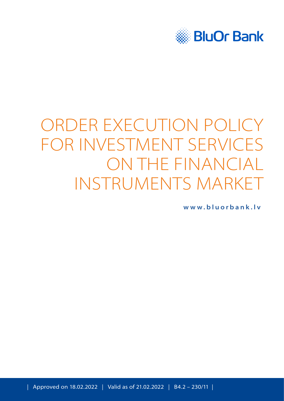

# ORDER EXECUTION POLICY FOR INVESTMENT SERVICES ON THE FINANCIAL INSTRUMENTS MARKET

**[www.bluorbank.lv](https://www.bluorbank.lv/en/index)**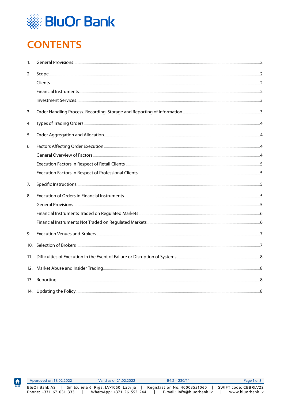

# <span id="page-1-0"></span>**CONTENTS**

| 1.  |  |
|-----|--|
| 2.  |  |
|     |  |
|     |  |
|     |  |
| 3.  |  |
| 4.  |  |
| 5.  |  |
| 6.  |  |
|     |  |
|     |  |
|     |  |
| 7.  |  |
| 8.  |  |
|     |  |
|     |  |
|     |  |
| 9.  |  |
|     |  |
| 11. |  |
|     |  |
|     |  |
|     |  |

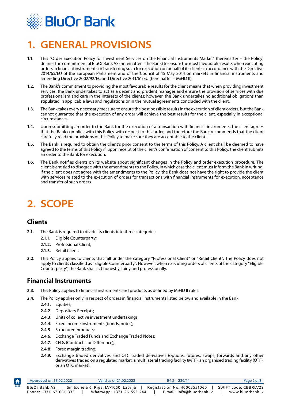<span id="page-2-0"></span>

### **1. GENERAL PROVISIONS**

- **1.1.** This "Order Execution Policy for Investment Services on the Financial Instruments Market" (hereinafter the Policy) defines the commitment of BluOr Bank AS (hereinafter – the Bank) to ensure the most favourable results when executing orders in financial instruments or transferring such for execution on behalf of its clients in accordance with the Directive 2014/65/EU of the European Parliament and of the Council of 15 May 2014 on markets in financial instruments and amending Directive 2002/92/EC and Directive 2011/61/EU (hereinafter – MiFID II).
- **1.2.** The Bank's commitment to providing the most favourable results for the client means that when providing investment services, the Bank undertakes to act as a decent and prudent manager and ensure the provision of services with due professionalism and care in the interests of the clients; however, the Bank undertakes no additional obligations than stipulated in applicable laws and regulations or in the mutual agreements concluded with the client.
- **1.3.** The Bank takes every necessary measure to ensure the best possible results in the execution of client orders, but the Bank cannot guarantee that the execution of any order will achieve the best results for the client, especially in exceptional circumstances.
- **1.4.** Upon submitting an order to the Bank for the execution of a transaction with financial instruments, the client agrees that the Bank complies with this Policy with respect to this order, and therefore the Bank recommends that the client carefully read the provisions of this Policy to make sure they are acceptable to the client.
- **1.5.** The Bank is required to obtain the client's prior consent to the terms of this Policy. A client shall be deemed to have agreed to the terms of this Policy if, upon receipt of the client's confirmation of consent to this Policy, the client submits an order to the Bank for execution.
- **1.6.** The Bank notifies clients on its website about significant changes in the Policy and order execution procedure. The client is entitled to disagree with the amendments to the Policy, in which case the client must inform the Bank in writing. If the client does not agree with the amendments to the Policy, the Bank does not have the right to provide the client with services related to the execution of orders for transactions with financial instruments for execution, acceptance and transfer of such orders.

### **2. SCOPE**

#### **Clients**

- **2.1.** The Bank is required to divide its clients into three categories:
	- **2.1.1.** Eligible Counterparty;
	- **2.1.2.** Professional Client;
	- **2.1.3.** Retail Client.
- **2.2.** This Policy applies to clients that fall under the category "Professional Client" or "Retail Client". The Policy does not apply to clients classified as "Eligible Counterparty". However, when executing orders of clients of the category "Eligible Counterparty", the Bank shall act honestly, fairly and professionally.

#### **Financial Instruments**

- **2.3.** This Policy applies to financial instruments and products as defined by MiFID II rules.
- **2.4.** The Policy applies only in respect of orders in financial instruments listed below and available in the Bank:
	- **2.4.1.** Equities;
	- **2.4.2.** Depositary Receipts;
	- **2.4.3.** Units of collective investment undertakings;
	- **2.4.4.** Fixed income instruments (bonds, notes);
	- **2.4.5.** Structured products;
	- **2.4.6.** Exchange Traded Funds and Exchange Traded Notes;
	- **2.4.7.** CFDs (Contracts for Difference);
	- **2.4.8.** Forex margin trading;
	- **2.4.9.** Exchange traded derivatives and OTC traded derivatives (options, futures, swaps, forwards and any other derivatives traded on a regulated market, a multilateral trading facility (MTF), an organised trading facility (OTF), or an OTC market).

| $\vert \bm{f} \vert$ | Approved on 18.02.2022 | Valid as of 21,02,2022                | $B4.2 - 230/11$              | Page 2 of 8          |  |
|----------------------|------------------------|---------------------------------------|------------------------------|----------------------|--|
| HOME                 | BluOr Bank AS          | Smilšu iela 6, Rīga, LV-1050, Latvija | Registration No. 40003551060 | SWIFT code: CBBRLV22 |  |
|                      | Phone: +371 67 031 333 | WhatsApp: +371 26 552 244             | E-mail: info@bluorbank.lv    | www.bluorbank.lv     |  |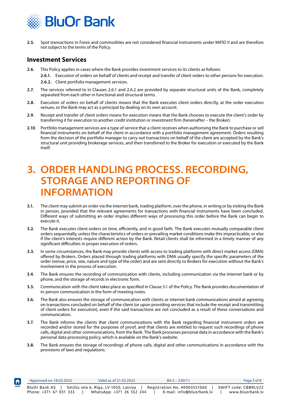<span id="page-3-0"></span>

**2.5.** Spot transactions in Forex and commodities are not considered financial instruments under MiFID II and are therefore not subject to the terms of the Policy.

#### **Investment Services**

**[HOME](#page-1-0)**

 $\biguparrow$ 

- **2.6.** This Policy applies in cases where the Bank provides investment services to its clients as follows:
	- **2.6.1.** Execution of orders on behalf of clients and receipt and transfer of client orders to other persons for execution.
	- **2.6.2.** Client portfolio management services.
- **2.7.** The services referred to in Clauses 2.6.1 and 2.6.2 are provided by separate structural units of the Bank, completely separated from each other in functional and structural terms.
- **2.8.** Execution of orders on behalf of clients means that the Bank executes client orders directly, at the order execution venues, or the Bank may act as a principal by dealing on its own account.
- **2.9.** Receipt and transfer of client orders means for execution means that the Bank chooses to execute the client's order by transferring it for execution to another credit institution or investment firm (hereinafter – the Broker).
- **2.10**. Portfolio management services are a type of service that a client receives when authorising the Bank to purchase or sell financial instruments on behalf of the client in accordance with a portfolio management agreement. Orders resulting from the decision of the portfolio manager to carry out transactions on behalf of the client are accepted by the Bank's structural unit providing brokerage services, and then transferred to the Broker for execution or executed by the Bank itself.

### **3. ORDER HANDLING PROCESS. RECORDING, STORAGE AND REPORTING OF INFORMATION**

- **3.1.** The client may submit an order via the internet bank, trading platform, over the phone, in writing or by visiting the Bank in person, provided that the relevant agreements for transactions with financial instruments have been concluded. Different ways of submitting an order implies different ways of processing this order before the Bank can begin to execute it.
- **3.2.** The Bank executes client orders on time, efficiently, and in good faith. The Bank executes mutually comparable client orders sequentially, unless the characteristics of orders or prevailing market conditions make this impracticable, or else if the client's interests require different action by the Bank. Retail clients shall be informed in a timely manner of any significant difficulties in proper execution of orders.
- **3.3.** In some circumstances, the Bank may provide clients with access to trading platforms with direct market access (DMA) offered by Brokers. Orders placed through trading platforms with DMA usually specify the specific parameters of the order (venue, price, size, nature and type of the order) and are sent directly to Brokers for execution without the Bank's involvement in the process of execution.
- **3.4.** The Bank ensures the recording of communication with clients, including communication via the internet bank or by phone, and the storage of records in electronic form.
- **3.5.** Communication with the client takes place as specified in Clause 3.1 of the Policy. The Bank provides documentation of in-person communication in the form of meeting notes.
- **3.6.** The Bank also ensures the storage of communication with clients or internet bank communications aimed at agreeing on transactions concluded on behalf of the client (or upon providing services that include the receipt and transmitting of client orders for execution), even if the said transactions are not concluded as a result of these conversations and communication.
- **3.7.** The Bank informs the clients that client communications with the Bank regarding financial instrument orders are recorded and/or stored for the purposes of proof, and that clients are entitled to request such recordings of phone calls, digital and other communications, from the Bank. The Bank processes personal data in accordance with the Bank's personal data processing policy, which is available on the Bank's website.
- **3.8.** The Bank ensures the storage of recordings of phone calls, digital and other communications in accordance with the provisions of laws and regulations.

| Approved on 18.02.2022                  | Valid as of 21,02,2022                                             | $B4.2 - 230/11$                                           | Page 3 of 8                              |
|-----------------------------------------|--------------------------------------------------------------------|-----------------------------------------------------------|------------------------------------------|
| BluOr Bank AS<br>Phone: +371 67 031 333 | Smilšu iela 6, Rīga, LV-1050, Latvija<br>WhatsApp: +371 26 552 244 | Registration No. 40003551060<br>E-mail: info@bluorbank.lv | SWIFT code: CBBRLV22<br>www.bluorbank.lv |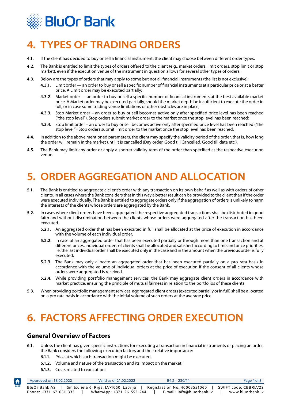<span id="page-4-0"></span>

# **4. TYPES OF TRADING ORDERS**

- **4.1.** If the client has decided to buy or sell a financial instrument, the client may choose between different order types.
- **4.2.** The Bank is entitled to limit the types of orders offered to the client (e.g., market orders, limit orders, stop limit or stop market), even if the execution venue of the instrument in question allows for several other types of orders.
- **4.3.** Below are the types of orders that may apply to some but not all financial instruments (the list is not exclusive):
	- **4.3.1.** Limit order an order to buy or sell a specific number of financial instruments at a particular price or at a better price. A Limit order may be executed partially;
	- **4.3.2.** Market order an order to buy or sell a specific number of financial instruments at the best available market price. A Market order may be executed partially, should the market depth be insufficient to execute the order in full, or in case some trading venue limitations or other obstacles are in place;
	- **4.3.3.** Stop Market order an order to buy or sell becomes active only after specified price level has been reached ("the stop level"). Stop orders submit market order to the market once the stop level has been reached;
	- **4.3.4.** Stop limit order an order to buy or sell becomes active only after specified price level has been reached ("the stop level"). Stop orders submit limit order to the market once the stop level has been reached.
- **4.4.** In addition to the above mentioned parameters, the client may specify the validity period of the order, that is, how long the order will remain in the market until it is cancelled (Day order, Good till Cancelled, Good till date etc.).
- **4.5.** The Bank may limit any order or apply a shorter validity term of the order than specified at the respective execution venue.

# **5. ORDER AGGREGATION AND ALLOCATION**

- **5.1.** The Bank is entitled to aggregate a client's order with any transaction on its own behalf as well as with orders of other clients, in all cases where the Bank considers that in this way a better result can be provided to the client than if the order were executed individually. The Bank is entitled to aggregate orders only if the aggregation of orders is unlikely to harm the interests of the clients whose orders are aggregated by the Bank.
- **5.2.** In cases where client orders have been aggregated, the respective aggregated transactions shall be distributed in good faith and without discrimination between the clients whose orders were aggregated after the transaction has been executed.
	- **5.2.1.** An aggregated order that has been executed in full shall be allocated at the price of execution in accordance with the volume of each individual order.
	- **5.2.2.** In case of an aggregated order that has been executed partially or through more than one transaction and at different prices, individual orders of clients shall be allocated and satisfied according to time and price priorities, i.e. the last individual order shall be executed only in the case and in the amount when the previous order is fully executed.
	- **5.2.3.** The Bank may only allocate an aggregated order that has been executed partially on a pro rata basis in accordance with the volume of individual orders at the price of execution if the consent of all clients whose orders were aggregated is received.
	- **5.2.4.** While providing portfolio management services, the Bank may aggregate client orders in accordance with market practice, ensuring the principle of mutual fairness in relation to the portfolios of these clients.
- **5.3.** When providing portfolio management services, aggregated client orders (executed partially or in full) shall be allocated on a pro rata basis in accordance with the initial volume of such orders at the average price.

# **6. FACTORS AFFECTING ORDER EXECUTION**

#### **General Overview of Factors**

- **6.1.** Unless the client has given specific instructions for executing a transaction in financial instruments or placing an order, the Bank considers the following execution factors and their relative importance:
	- **6.1.1.** Price at which such transaction might be executed,
	- **6.1.2.** Volume and nature of the transaction and its impact on the market;
	- **6.1.3.** Costs related to execution;

**[HOME](#page-1-0)**

A

| Approved on 18.02.2022                  | Valid as of 21,02,2022                                             | $B4.2 - 230/11$                                           | Page 4 of 8                              |  |
|-----------------------------------------|--------------------------------------------------------------------|-----------------------------------------------------------|------------------------------------------|--|
| BluOr Bank AS<br>Phone: +371 67 031 333 | Smilšu iela 6, Rīga, LV-1050, Latvija<br>WhatsApp: +371 26 552 244 | Registration No. 40003551060<br>E-mail: info@bluorbank.lv | SWIFT code: CBBRLV22<br>www.bluorbank.lv |  |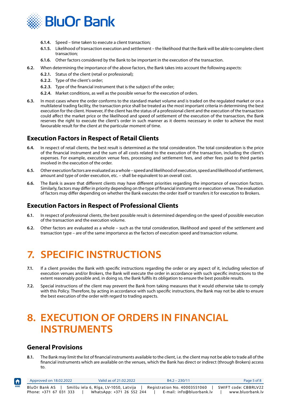<span id="page-5-0"></span>

- **6.1.4.** Speed time taken to execute a client transaction;
- **6.1.5.** Likelihood of transaction execution and settlement the likelihood that the Bank will be able to complete client transaction;
- **6.1.6.** Other factors considered by the Bank to be important in the execution of the transaction.
- **6.2.** When determining the importance of the above factors, the Bank takes into account the following aspects:
	- **6.2.1.** Status of the client (retail or professional);
	- **6.2.2.** Type of the client's order;
	- **6.2.3.** Type of the financial instrument that is the subject of the order;
	- **6.2.4.** Market conditions, as well as the possible venue for the execution of orders.
- **6.3.** In most cases where the order conforms to the standard market volume and is traded on the regulated market or on a multilateral trading facility, the transaction price shall be treated as the most important criteria in determining the best execution for the client. However, if the client has the status of a professional client and the execution of the transaction could affect the market price or the likelihood and speed of settlement of the execution of the transaction, the Bank reserves the right to execute the client's order in such manner as it deems necessary in order to achieve the most favourable result for the client at the particular moment of time.

#### **Execution Factors in Respect of Retail Clients**

- **6.4.** In respect of retail clients, the best result is determined as the total consideration. The total consideration is the price of the financial instrument and the sum of all costs related to the execution of the transaction, including the client's expenses. For example, execution venue fees, processing and settlement fees, and other fees paid to third parties involved in the execution of the order.
- **6.5.** Other execution factors are evaluated as a whole speed and likelihood of execution, speed and likelihood of settlement, amount and type of order execution, etc. – shall be equivalent to an overall cost.
- **6.6.** The Bank is aware that different clients may have different priorities regarding the importance of execution factors. Similarly, factors may differ in priority depending on the type of financial instrument or execution venue. The evaluation of factors may differ depending on whether the Bank executes the order itself or transfers it for execution to Brokers.

#### **Execution Factors in Respect of Professional Clients**

- **6.1.** In respect of professional clients, the best possible result is determined depending on the speed of possible execution of the transaction and the execution volume.
- **6.2.** Other factors are evaluated as a whole such as the total consideration, likelihood and speed of the settlement and transaction type – are of the same importance as the factors of execution speed and transaction volume.

### **7. SPECIFIC INSTRUCTIONS**

- **7.1.** If a client provides the Bank with specific instructions regarding the order or any aspect of it, including selection of execution venues and/or Brokers, the Bank will execute the order in accordance with such specific instructions to the extent reasonably possible and, in doing so, the Bank fulfils its obligation to ensure the best possible results.
- **7.2.** Special instructions of the client may prevent the Bank from taking measures that it would otherwise take to comply with this Policy. Therefore, by acting in accordance with such specific instructions, the Bank may not be able to ensure the best execution of the order with regard to trading aspects.

### **8. EXECUTION OF ORDERS IN FINANCIAL INSTRUMENTS**

#### **General Provisions**

**8.1.** The Bank may limit the list of financial instruments available to the client, i.e. the client may not be able to trade all of the financial instruments which are available on the venues, which the Bank has direct or indirect (through Brokers) access to.

| Approved on 18.02.2022 |  | Valid as of 21,02,2022    |  |  | $B4.2 - 230/11$                                                      |  |                      | Page 5 of 8 |
|------------------------|--|---------------------------|--|--|----------------------------------------------------------------------|--|----------------------|-------------|
| BluOr Bank AS          |  |                           |  |  | Smilšu iela 6, Rīga, LV-1050, Latvija   Registration No. 40003551060 |  | SWIFT code: CBBRLV22 |             |
| Phone: +371 67 031 333 |  | WhatsApp: +371 26 552 244 |  |  | E-mail: info@bluorbank.lv                                            |  | www.bluorbank.lv     |             |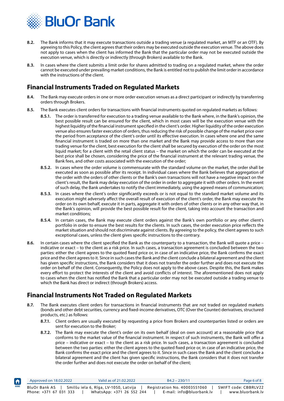<span id="page-6-0"></span>

- **8.2.** The Bank informs that it may execute transactions outside a trading venue (a regulated market, an MTF or an OTF). By agreeing to this Policy, the client agrees that their orders may be executed outside the execution venue. The above does not apply to cases when the client has informed the Bank that the particular order may not be executed outside the execution venue, which is directly or indirectly (through Brokers) available to the Bank.
- **8.3.** In cases where the client submits a limit order for shares admitted to trading on a regulated market, where the order cannot be executed under prevailing market conditions, the Bank is entitled not to publish the limit order in accordance with the instructions of the client.

#### **Financial Instruments Traded on Regulated Markets**

- **8.4.** The Bank may execute orders in one or more order execution venues as a direct participant or indirectly by transferring orders through Brokers.
- **8.5.** The Bank executes client orders for transactions with financial instruments quoted on regulated markets as follows:
	- **8.5.1.** The order is transferred for execution to a trading venue available to the Bank where, in the Bank's opinion, the best possible result can be ensured for the client, which in most cases will be the execution venue with the highest liquidity of the financial instrument specified in the client's order. Higher liquidity of the order execution venue also ensures faster execution of orders, thus reducing the risk of possible change of the market price over the period from acceptance of the client's order until its effective execution. In cases where one and the same financial instrument is traded on more than one market and the Bank may provide access to more than one trading venue for the client, best execution for the client shall be secured by execution of the order on the most liquid market; for a client with the retail client status – the market on which the order can be executed at the best price shall be chosen, considering the price of the financial instrument at the relevant trading venue, the Bank fees, and other costs associated with the execution of the order;
	- **8.5.2.** In cases where the order volume is commensurate with the standard volume on the market, the order shall be executed as soon as possible after its receipt. In individual cases where the Bank believes that aggregation of the order with the orders of other clients or the Bank's own transactions will not have a negative impact on the client's result, the Bank may delay execution of the order in order to aggregate it with other orders. In the event of such delay, the Bank undertakes to notify the client immediately, using the agreed means of communication;
	- **8.5.3.** In cases where the client's order significantly exceeds or is not equal to the standard market volume and its execution might adversely affect the overall result of execution of the client's order, the Bank may execute the order on its own behalf, execute it in parts, aggregate it with orders of other clients or in any other way that, in the Bank's opinion, will provide the best possible result for the client, taking into account the transaction and market conditions;
	- **8.5.4.** In certain cases, the Bank may execute client orders against the Bank's own portfolio or any other client's portfolio in order to ensure the best results for the clients. In such cases, the order execution price reflects the market situation and should not discriminate against clients. By agreeing to the policy, the client agrees to such exceptional cases, unless the client gives specific instructions to the contrary.
- **8.6.** In certain cases where the client specified the Bank as the counterparty to a transaction, the Bank will quote a price indicative or exact – to the client as a risk price. In such cases, a transaction agreement is concluded between the two parties: either the client agrees to the quoted fixed price or, in case of an indicative price, the Bank confirms the exact price and the client agrees to it. Since in such cases the Bank and the client conclude a bilateral agreement and the client has given specific instructions, the Bank considers that it does not transfer the order further and does not execute the order on behalf of the client. Consequently, the Policy does not apply to the above cases. Despite this, the Bank makes every effort to protect the interests of the client and avoid conflicts of interest. The aforementioned does not apply to cases when the client has notified the Bank that a particular order may not be executed outside a trading venue to which the Bank has direct or indirect (through Brokers) access.

#### **Financial Instruments Not Traded on Regulated Markets**

**[HOME](#page-1-0)**

₳

- **8.7.** The Bank executes client orders for transactions in financial instruments that are not traded on regulated markets (bonds and other debt securities, currency and fixed-income derivatives, OTC (Over the Counter) derivatives, structured products, etc.) as follows:
	- **8.7.1.** Client orders are usually executed by requesting a price from Brokers and counterparties listed or orders are sent for execution to the Broker;
	- **8.7.2.** The Bank may execute the client's order on its own behalf (deal on own account) at a reasonable price that conforms to the market value of the financial instrument. In respect of such instruments, the Bank will offer a price – indicative or exact – to the client as a risk price. In such cases, a transaction agreement is concluded between the two parties: either the client agrees to the quoted fixed price or, in case of an indicative price, the Bank confirms the exact price and the client agrees to it. Since in such cases the Bank and the client conclude a bilateral agreement and the client has given specific instructions, the Bank considers that it does not transfer the order further and does not execute the order on behalf of the client;

| Approved on 18.02.2022                    | Valid as of 21.02.2022                                                   | $B4.2 - 230/11$                                           | Page 6 of 8                              |
|-------------------------------------------|--------------------------------------------------------------------------|-----------------------------------------------------------|------------------------------------------|
| BluOr Bank AS I<br>Phone: +371 67 031 333 | Smilšu iela 6, Rīga, LV-1050, Latvija      <br>WhatsApp: +371 26 552 244 | Registration No. 40003551060<br>E-mail: info@bluorbank.lv | SWIFT code: CBBRLV22<br>www.bluorbank.lv |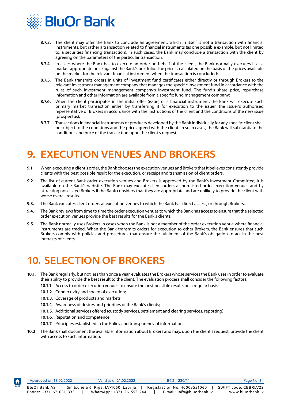<span id="page-7-0"></span>

- **8.7.3.** The client may offer the Bank to conclude an agreement, which in itself is not a transaction with financial instruments, but rather a transaction related to financial instruments (as one possible example, but not limited to, a securities financing transaction). In such cases, the Bank may conclude a transaction with the client by agreeing on the parameters of the particular transaction;
- **8.7.4.** In cases where the Bank has to execute an order on behalf of the client, the Bank normally executes it at a market-appropriate price against the Bank's portfolio. The price is calculated on the basis of the prices available on the market for the relevant financial instrument when the transaction is concluded;
- **8.7.5.** The Bank transmits orders in units of investment fund certificates either directly or through Brokers to the relevant investment management company that manages the specific investment fund in accordance with the rules of such investment management company's investment fund. The fund's share price, repurchase information and other information are available from a specific fund management company;
- **8.7.6.** When the client participates in the initial offer (issue) of a financial instrument, the Bank will execute such primary market transaction either by transferring it for execution to the issuer, the issuer's authorised representative or Brokers in accordance with the instructions of the client and the conditions of the new issue (prospectus);
- **8.7.7.** Transactions in financial instruments or products developed by the Bank individually for any specific client shall be subject to the conditions and the price agreed with the client. In such cases, the Bank will substantiate the conditions and price of the transaction upon the client's request.

### **9. EXECUTION VENUES AND BROKERS**

- **9.1.** When executing a client's order, the Bank chooses the execution venues and Brokers that it believes consistently provide clients with the best possible result for the execution, or receipt and transmission of client orders.
- **9.2.** The list of current Bank order execution venues and Brokers is approved by the Bank's Investment Committee; it is available on the Bank's website. The Bank may execute client orders at non-listed order execution venues and by attracting non-listed Brokers if the Bank considers that they are appropriate and are unlikely to provide the client with worse overall results.
- **9.3.** The Bank executes client orders at execution venues to which the Bank has direct access, or through Brokers.
- **9.4.** The Bank reviews from time to time the order execution venues to which the Bank has access to ensure that the selected order execution venues provide the best results for the Bank's clients.
- **9.5.** The Bank normally uses Brokers in cases when the Bank is not a member of the order execution venue where financial instruments are traded. When the Bank transmits orders for execution to other Brokers, the Bank ensures that such Brokers comply with policies and procedures that ensure the fulfilment of the Bank's obligation to act in the best interests of clients.

### **10. SELECTION OF BROKERS**

- **10.1**. The Bank regularly, but not less than once a year, evaluates the Brokers whose services the Bank uses in order to evaluate their ability to provide the best result to the client. The evaluation process shall consider the following factors:
	- **10.1.1**. Access to order execution venues to ensure the best possible results on a regular basis;
	- **10.1.2**. Connectivity and speed of execution;
	- **10.1.3**. Coverage of products and markets;
	- **10.1.4**. Awareness of desires and priorities of the Bank's clients;
	- **10.1.5**. Additional services offered (custody services, settlement and clearing services, reporting)
	- **10.1.6**. Reputation and competence;

**[HOME](#page-1-0)**

- **10.1.7**. Principles established in the Policy and transparency of information.
- **10.2**. The Bank shall document the available information about Brokers and may, upon the client's request, provide the client with access to such information.